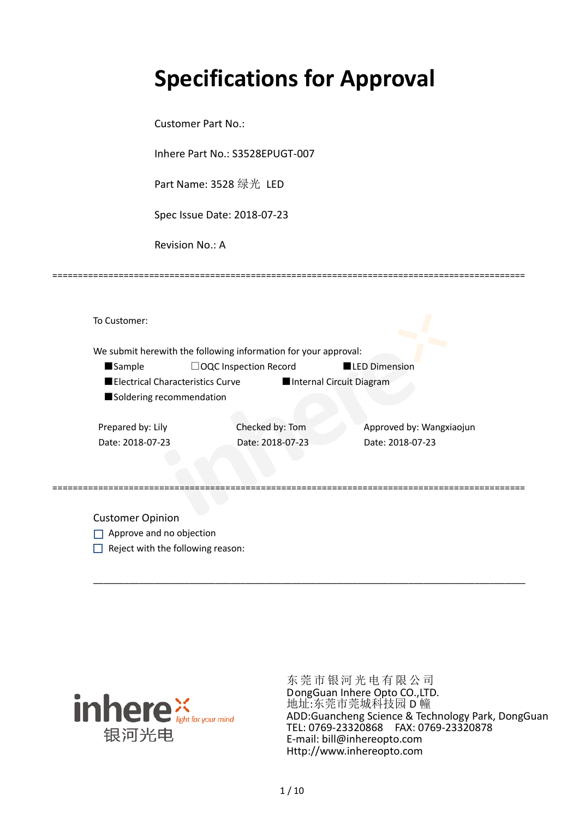# **Specifications for Approval**

Customer Part No.:

Inhere Part No.: S3528EPUGT-007

Part Name: 3528 绿光 LED

Spec Issue Date: 2018-07-23

Revision No.: A

|                          | We submit herewith the following information for your approval: |                          |                          |
|--------------------------|-----------------------------------------------------------------|--------------------------|--------------------------|
| <b>Sample</b>            | $\Box$ OQC Inspection Record                                    | <b>LED Dimension</b>     |                          |
|                          | Electrical Characteristics Curve                                | Internal Circuit Diagram |                          |
| Soldering recommendation |                                                                 |                          |                          |
|                          |                                                                 |                          |                          |
| Prepared by: Lily        | Checked by: Tom                                                 |                          | Approved by: Wangxiaojun |
| Date: 2018-07-23         | Date: 2018-07-23                                                |                          | Date: 2018-07-23         |
|                          |                                                                 |                          |                          |

\_\_\_\_\_\_\_\_\_\_\_\_\_\_\_\_\_\_\_\_\_\_\_\_\_\_\_\_\_\_\_\_\_\_\_\_\_\_\_\_\_\_\_\_\_\_\_\_\_\_\_\_\_\_\_\_\_\_\_\_\_\_\_\_\_\_\_\_\_\_\_\_\_\_\_\_\_\_\_\_\_\_\_\_\_

=============================================================================================

Customer Opinion

- Approve and no objection
- $\Box$  Reject with the following reason:



东莞市银河光电有限公司 DongGuan Inhere Opto CO.,LTD. 地址:东莞市莞城科技园 D 幢 ADD:Guancheng Science & Technology Park, DongGuan TEL: 0769-23320868 FAX: 0769-23320878 E-mail: bill@inhereopto.com Http://www.inhereopto.com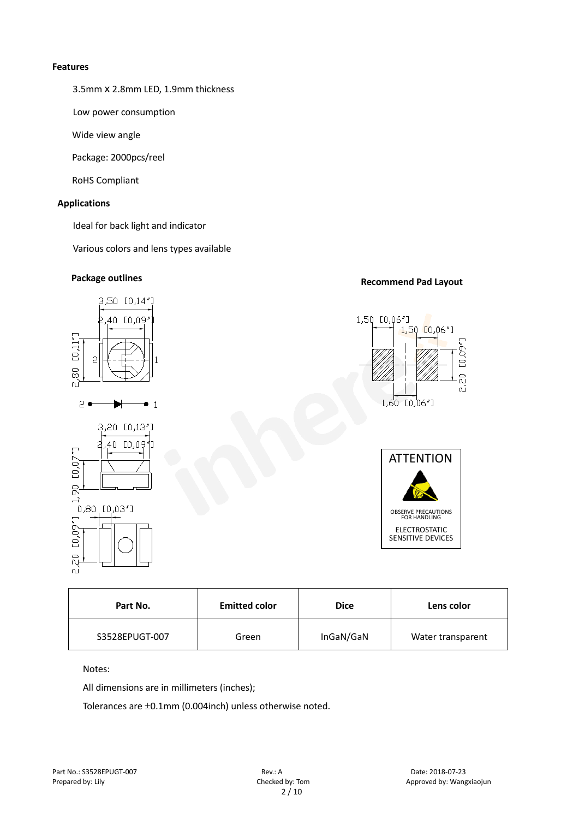#### **Features**

3.5mmⅹ2.8mm LED, 1.9mm thickness

Low power consumption

Wide view angle

Package: 2000pcs/reel

RoHS Compliant

#### **Applications**

Ideal for back light and indicator

Various colors and lens types available

## **Recommend Pad Layout Package outlines**



| <b>Emitted color</b><br>Part No. |       | <b>Dice</b> | Lens color        |
|----------------------------------|-------|-------------|-------------------|
| S3528EPUGT-007                   | Green | InGaN/GaN   | Water transparent |

Notes:

All dimensions are in millimeters (inches);

Tolerances are ±0.1mm (0.004inch) unless otherwise noted.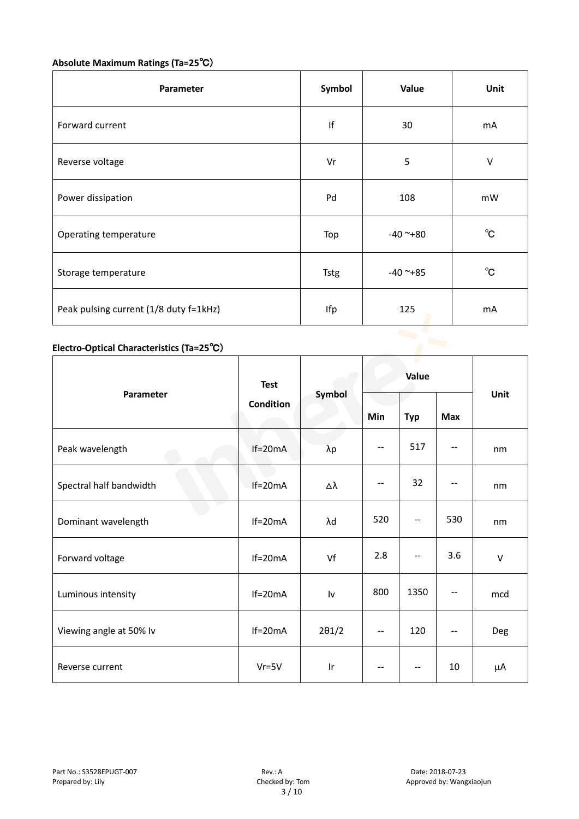# **Absolute Maximum Ratings (Ta=25**℃)

| Parameter                              | Symbol      | Value         | Unit         |
|----------------------------------------|-------------|---------------|--------------|
| Forward current                        | If          | 30            | mA           |
| Reverse voltage                        | Vr          | 5             | $\vee$       |
| Power dissipation                      | Pd          | 108           | mW           |
| Operating temperature                  | Top         | $-40$ ~+80    | $^{\circ}$ C |
| Storage temperature                    | <b>Tstg</b> | $-40$ ~ $+85$ | $^{\circ}$ C |
| Peak pulsing current (1/8 duty f=1kHz) | Ifp         | 125           | mA           |
|                                        |             |               |              |

### **Electro-Optical Characteristics (Ta=25**℃)

|                         | <b>Test</b><br><b>Condition</b> | Symbol                  | Value |                                       |                          |        |
|-------------------------|---------------------------------|-------------------------|-------|---------------------------------------|--------------------------|--------|
| Parameter               |                                 |                         | Min   | <b>Typ</b>                            | <b>Max</b>               | Unit   |
| Peak wavelength         | $If=20mA$                       | $\lambda p$             | --    | 517                                   |                          | nm     |
| Spectral half bandwidth | $If=20mA$                       | Δλ                      | $ -$  | 32                                    |                          | nm     |
| Dominant wavelength     | $If=20mA$                       | λd                      | 520   | $\overline{\phantom{a}}$              | 530                      | nm     |
| Forward voltage         | $If=20mA$                       | Vf                      | 2.8   | --                                    | 3.6                      | $\vee$ |
| Luminous intensity      | $If=20mA$                       | Iv                      | 800   | 1350                                  |                          | mcd    |
| Viewing angle at 50% lv | $If=20mA$                       | $2\theta$ 1/2           | $-$   | 120                                   | $\overline{\phantom{a}}$ | Deg    |
| Reverse current         | $Vr = 5V$                       | $\mathsf{I} \mathsf{r}$ | $-$   | $\hspace{0.05cm}$ – $\hspace{0.05cm}$ | 10                       | μA     |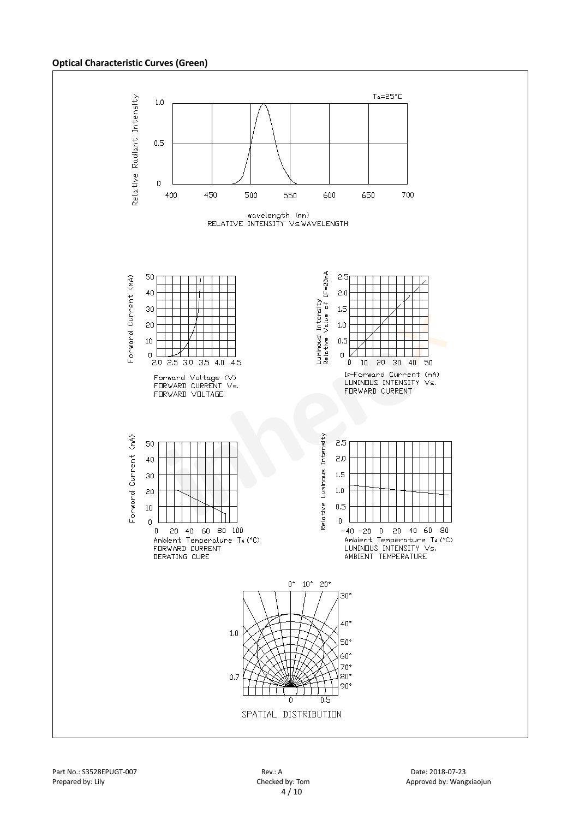#### **Optical Characteristic Curves (Green)**

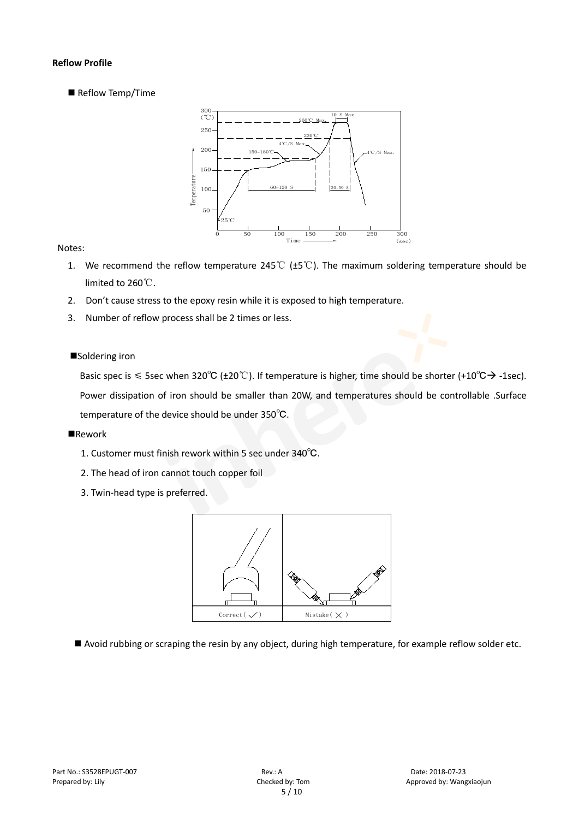#### **Reflow Profile**

Reflow Temp/Time



#### Notes:

- 1. We recommend the reflow temperature 245℃ (±5℃). The maximum soldering temperature should be limited to 260℃.
- 2. Don't cause stress to the epoxy resin while it is exposed to high temperature.
- 3. Number of reflow process shall be 2 times or less.

#### ■Soldering iron

Basic spec is  $\leq$  5sec when 320°C (±20°C). If temperature is higher, time should be shorter (+10°C $\rightarrow$  -1sec). Power dissipation of iron should be smaller than 20W, and temperatures should be controllable .Surface temperature of the device should be under 350℃.

#### **Rework**

- 1. Customer must finish rework within 5 sec under 340℃.
- 2. The head of iron cannot touch copper foil
- 3. Twin-head type is preferred.



Avoid rubbing or scraping the resin by any object, during high temperature, for example reflow solder etc.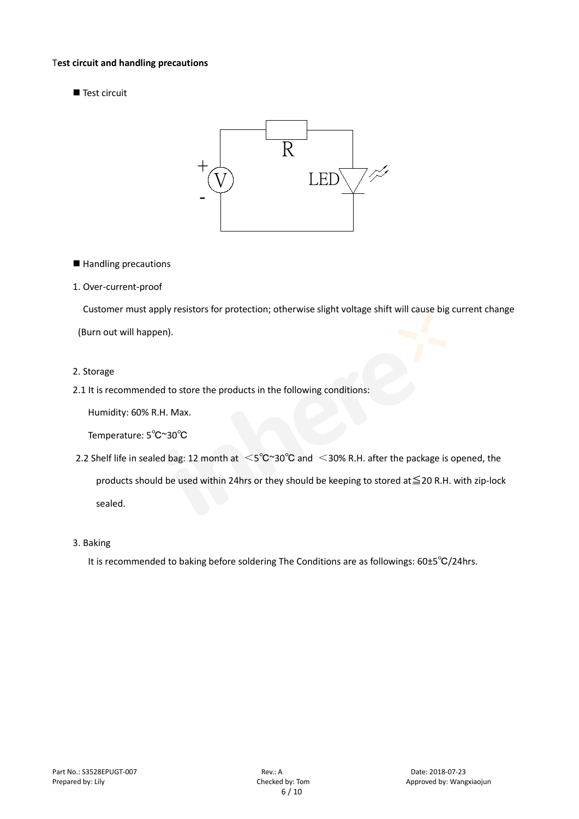#### T**est circuit and handling precautions**

■ Test circuit



■ Handling precautions

#### 1. Over-current-proof

Customer must apply resistors for protection; otherwise slight voltage shift will cause big current change (Burn out will happen).

#### 2. Storage

#### 2.1 It is recommended to store the products in the following conditions:

Humidity: 60% R.H. Max.

Temperature: 5℃~30℃

- 2.2 Shelf life in sealed bag: 12 month at <5℃~30°C and <30% R.H. after the package is opened, the products should be used within 24hrs or they should be keeping to stored at≦20 R.H. with zip-lock sealed.
- 3. Baking

It is recommended to baking before soldering The Conditions are as followings: 60±5℃/24hrs.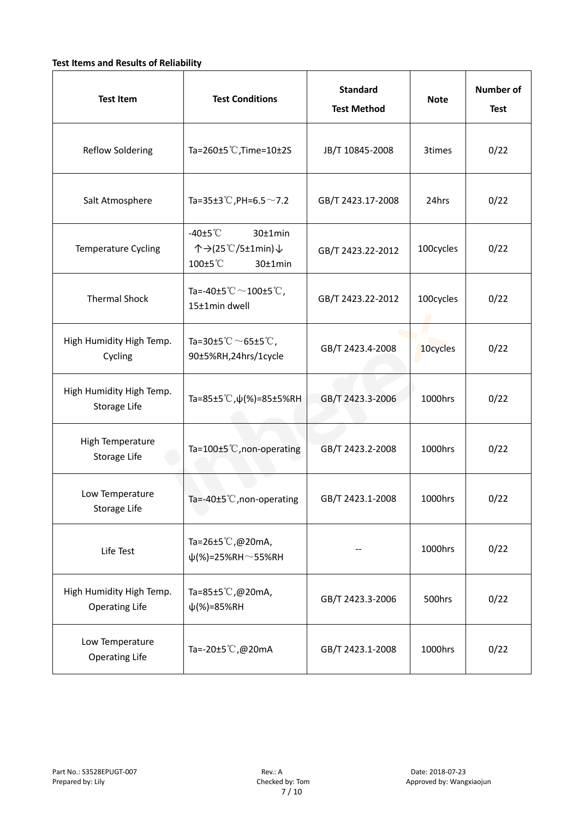#### **Test Items and Results of Reliability**

| <b>Test Item</b>                                  | <b>Standard</b><br><b>Test Conditions</b><br><b>Test Method</b>                |                   | <b>Note</b> | <b>Number of</b><br><b>Test</b> |
|---------------------------------------------------|--------------------------------------------------------------------------------|-------------------|-------------|---------------------------------|
| <b>Reflow Soldering</b>                           | Ta=260 $\pm$ 5 °C, Time=10 $\pm$ 2S                                            | JB/T 10845-2008   | 3times      | 0/22                            |
| Salt Atmosphere                                   | Ta=35±3°C, PH=6.5 $\sim$ 7.2<br>GB/T 2423.17-2008                              |                   | 24hrs       | 0/22                            |
| Temperature Cycling                               | -40 $±5^{\circ}$ C<br>$30±1$ min<br>个→(25℃/5±1min)↓<br>100±5°C<br>$30±1$ min   | GB/T 2423.22-2012 | 100cycles   | 0/22                            |
| <b>Thermal Shock</b>                              | Ta=-40±5 $\degree \text{C}$ $\sim$ 100±5 $\degree \text{C}$ ,<br>15±1min dwell | GB/T 2423.22-2012 | 100cycles   | 0/22                            |
| High Humidity High Temp.<br>Cycling               | Ta=30±5 °C $\sim$ 65±5 °C,<br>90±5%RH,24hrs/1cycle                             | GB/T 2423.4-2008  |             | 0/22                            |
| High Humidity High Temp.<br>Storage Life          | Ta=85±5 <sup>°</sup> C, $\psi$ (%)=85±5%RH                                     | GB/T 2423.3-2006  | 1000hrs     | 0/22                            |
| High Temperature<br>Storage Life                  | Ta=100±5 <sup>°</sup> C, non-operating                                         | GB/T 2423.2-2008  | 1000hrs     | 0/22                            |
| Low Temperature<br>Storage Life                   | Ta=-40±5 $°C$ , non-operating                                                  | GB/T 2423.1-2008  | 1000hrs     | 0/22                            |
| Life Test                                         | Ta=26±5℃,@20mA,<br>$\psi$ (%)=25%RH~55%RH                                      |                   |             | 0/22                            |
| High Humidity High Temp.<br><b>Operating Life</b> | Ta=85±5 $\degree$ C, @20mA,<br>$\psi$ (%)=85%RH                                | GB/T 2423.3-2006  | 500hrs      | 0/22                            |
| Low Temperature<br><b>Operating Life</b>          | Ta=-20±5℃,@20mA                                                                | GB/T 2423.1-2008  | 1000hrs     | 0/22                            |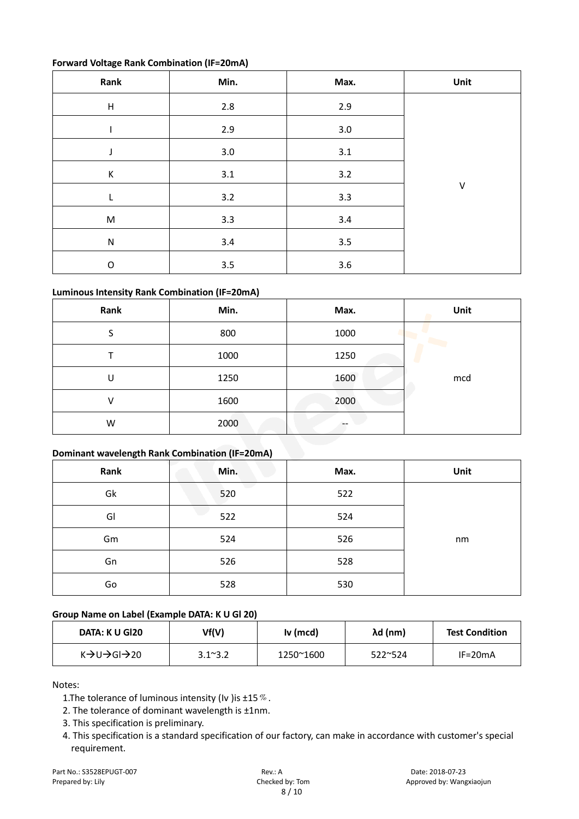#### **Forward Voltage Rank Combination (IF=20mA)**

| Rank                      | Min.    | Max.    | Unit |
|---------------------------|---------|---------|------|
| $\boldsymbol{\mathsf{H}}$ | 2.8     | 2.9     |      |
|                           | 2.9     | $3.0\,$ |      |
| J                         | $3.0\,$ | $3.1\,$ |      |
| К                         | 3.1     | $3.2$   |      |
| L                         | 3.2     | 3.3     | V    |
| ${\sf M}$                 | 3.3     | $3.4$   |      |
| ${\sf N}$                 | 3.4     | 3.5     |      |
| $\mathsf O$               | 3.5     | 3.6     |      |

#### **Luminous Intensity Rank Combination (IF=20mA)**

| Rank | Min. | Max. | Unit |
|------|------|------|------|
| S    | 800  | 1000 |      |
|      | 1000 | 1250 |      |
| U    | 1250 | 1600 | mcd  |
| v    | 1600 | 2000 |      |
| W    | 2000 | --   |      |

#### **Dominant wavelength Rank Combination (IF=20mA)**

| Rank | Min. | Max. | Unit |
|------|------|------|------|
| Gk   | 520  | 522  |      |
| GI   | 522  | 524  |      |
| Gm   | 524  | 526  | nm   |
| Gn   | 526  | 528  |      |
| Go   | 528  | 530  |      |

#### **Group Name on Label (Example DATA: K U Gl 20)**

| DATA: K U GI20                                   | Vf(V)            | Iv (mcd)  | λd (nm)          | <b>Test Condition</b> |
|--------------------------------------------------|------------------|-----------|------------------|-----------------------|
| $K \rightarrow U \rightarrow G I \rightarrow 20$ | $3.1^{\circ}3.2$ | 1250~1600 | $522^{\circ}524$ | $IF=20mA$             |

Notes:

1. The tolerance of luminous intensity (Iv ) is  $\pm 15\%$ .

2. The tolerance of dominant wavelength is ±1nm.

- 3. This specification is preliminary.
- 4. This specification is a standard specification of our factory, can make in accordance with customer's special requirement.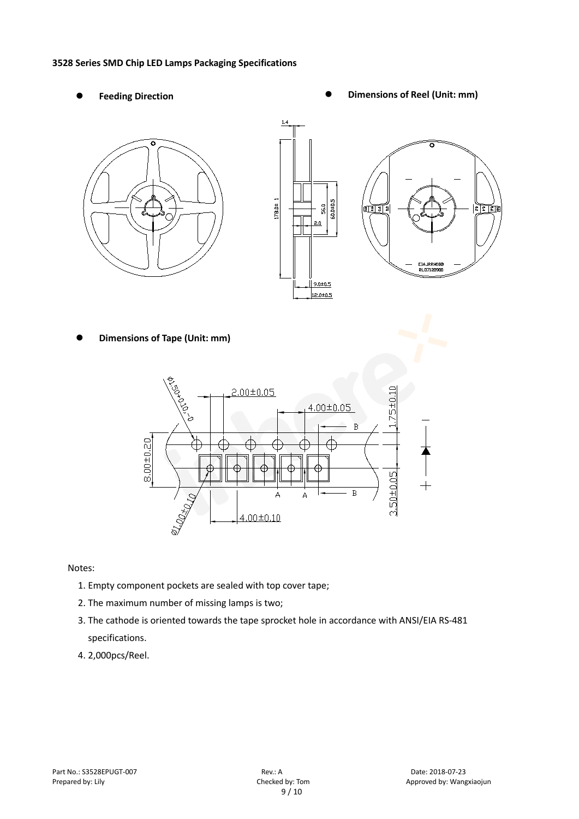#### **3528 Series SMD Chip LED Lamps Packaging Specifications**

- 
- Feeding Direction **Constanting Constanting Constanting Constanting Constanting Constanting Constanting Constanting Constanting Constanting Constanting Constanting Constanting Constanting Constanting Constanting Constanting**

 $282$ 



**Dimensions of Tape (Unit: mm)**



Notes:

- 1. Empty component pockets are sealed with top cover tape;
- 2. The maximum number of missing lamps is two;
- 3. The cathode is oriented towards the tape sprocket hole in accordance with ANSI/EIA RS-481 specifications.
- 4. 2,000pcs/Reel.